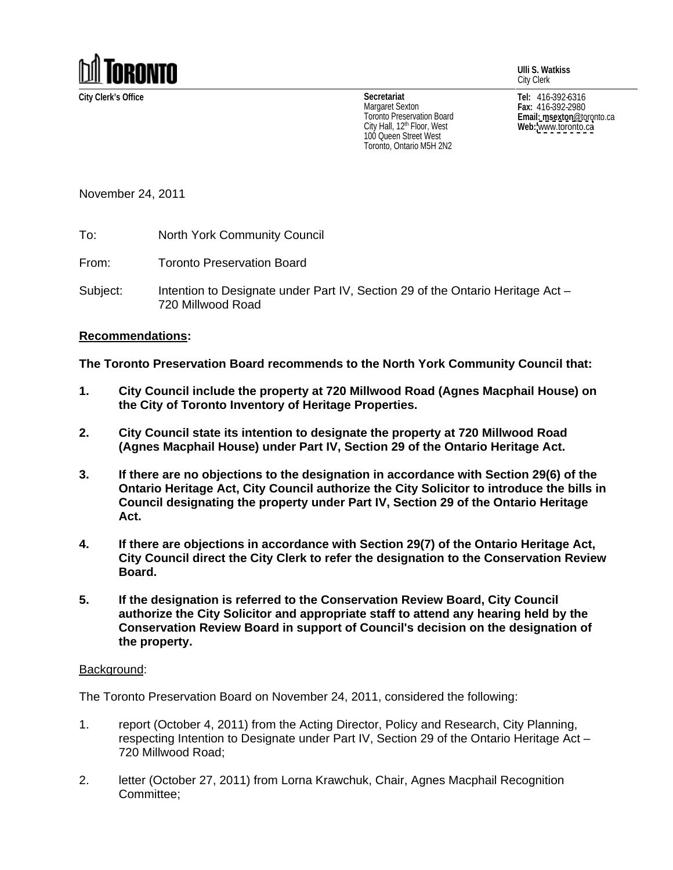

**Ulli S. Watkiss** City Clerk

City Hall, 12<sup>th</sup> Floor, West **Web:** www.toronto.ca 100 Queen Street West Toronto, Ontario M5H 2N2

**City Clerk's Office Tel:** 416-392-6316 **Fax:** 416-392-2980 **Email: msexton**@toronto.ca **Web:** [www.toronto.ca](http://www.toronto.ca) **Secretariat** Margaret Sexton  $_{max:416-392-2980}$ I oronto Preservation Board **Example 2018 Email: msexton** @toronto.ca

November 24, 2011

To: North York Community Council

From: Toronto Preservation Board

Subject: Intention to Designate under Part IV, Section 29 of the Ontario Heritage Act – 720 Millwood Road

## **Recommendations:**

**The Toronto Preservation Board recommends to the North York Community Council that:**

- **1. City Council include the property at 720 Millwood Road (Agnes Macphail House) on the City of Toronto Inventory of Heritage Properties.**
- **2. City Council state its intention to designate the property at 720 Millwood Road (Agnes Macphail House) under Part IV, Section 29 of the Ontario Heritage Act.**
- **3. If there are no objections to the designation in accordance with Section 29(6) of the Ontario Heritage Act, City Council authorize the City Solicitor to introduce the bills in Council designating the property under Part IV, Section 29 of the Ontario Heritage Act.**
- **4. If there are objections in accordance with Section 29(7) of the Ontario Heritage Act, City Council direct the City Clerk to refer the designation to the Conservation Review Board.**
- **5. If the designation is referred to the Conservation Review Board, City Council authorize the City Solicitor and appropriate staff to attend any hearing held by the Conservation Review Board in support of Council's decision on the designation of the property.**

## Background: with a state of the state of the state of the state of the state of the state of the state of the state of the state of the state of the state of the state of the state of the state of the state of the state of

The Toronto Preservation Board on November 24, 2011, considered the following:

- 1. report (October 4, 2011) from the Acting Director, Policy and Research, City Planning, respecting Intention to Designate under Part IV, Section 29 of the Ontario Heritage Act 720 Millwood Road;
- 2. letter (October 27, 2011) from Lorna Krawchuk, Chair, Agnes Macphail Recognition Committee;